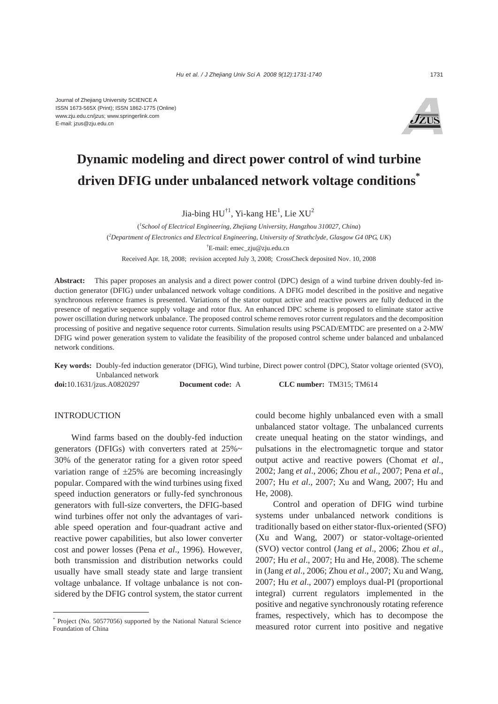

# **Dynamic modeling and direct power control of wind turbine driven DFIG under unbalanced network voltage conditions\***

Jia-bing  $HU^{\dagger1}$ , Yi-kang  $HE^1$ , Lie  $XU^2$ 

( *1 School of Electrical Engineering, Zhejiang University, Hangzhou 310027, China*) ( *2 Department of Electronics and Electrical Engineering, University of Strathclyde, Glasgow G4 0PG, UK*) † E-mail: emec\_zju@zju.edu.cn Received Apr. 18, 2008; revision accepted July 3, 2008; CrossCheck deposited Nov. 10, 2008

**Abstract:** This paper proposes an analysis and a direct power control (DPC) design of a wind turbine driven doubly-fed induction generator (DFIG) under unbalanced network voltage conditions. A DFIG model described in the positive and negative synchronous reference frames is presented. Variations of the stator output active and reactive powers are fully deduced in the presence of negative sequence supply voltage and rotor flux. An enhanced DPC scheme is proposed to eliminate stator active power oscillation during network unbalance. The proposed control scheme removes rotor current regulators and the decomposition processing of positive and negative sequence rotor currents. Simulation results using PSCAD/EMTDC are presented on a 2-MW DFIG wind power generation system to validate the feasibility of the proposed control scheme under balanced and unbalanced network conditions.

**Key words:** Doubly-fed induction generator (DFIG), Wind turbine, Direct power control (DPC), Stator voltage oriented (SVO), Unbalanced network

**doi:**10.1631/jzus.A0820297 **Document code:** A **CLC number:** TM315; TM614

**INTRODUCTION** 

Wind farms based on the doubly-fed induction generators (DFIGs) with converters rated at 25%~ 30% of the generator rating for a given rotor speed variation range of  $\pm 25\%$  are becoming increasingly popular. Compared with the wind turbines using fixed speed induction generators or fully-fed synchronous generators with full-size converters, the DFIG-based wind turbines offer not only the advantages of variable speed operation and four-quadrant active and reactive power capabilities, but also lower converter cost and power losses (Pena *et al*., 1996). However, both transmission and distribution networks could usually have small steady state and large transient voltage unbalance. If voltage unbalance is not considered by the DFIG control system, the stator current could become highly unbalanced even with a small unbalanced stator voltage. The unbalanced currents create unequal heating on the stator windings, and pulsations in the electromagnetic torque and stator output active and reactive powers (Chomat *et al*., 2002; Jang *et al*., 2006; Zhou *et al*., 2007; Pena *et al*., 2007; Hu *et al*., 2007; Xu and Wang, 2007; Hu and He, 2008).

Control and operation of DFIG wind turbine systems under unbalanced network conditions is traditionally based on either stator-flux-oriented (SFO) (Xu and Wang, 2007) or stator-voltage-oriented (SVO) vector control (Jang *et al*., 2006; Zhou *et al*., 2007; Hu *et al*., 2007; Hu and He, 2008). The scheme in (Jang *et al*., 2006; Zhou *et al*., 2007; Xu and Wang, 2007; Hu *et al*., 2007) employs dual-PI (proportional integral) current regulators implemented in the positive and negative synchronously rotating reference frames, respectively, which has to decompose the measured rotor current into positive and negative

<sup>\*</sup> Project (No. 50577056) supported by the National Natural Science Foundation of China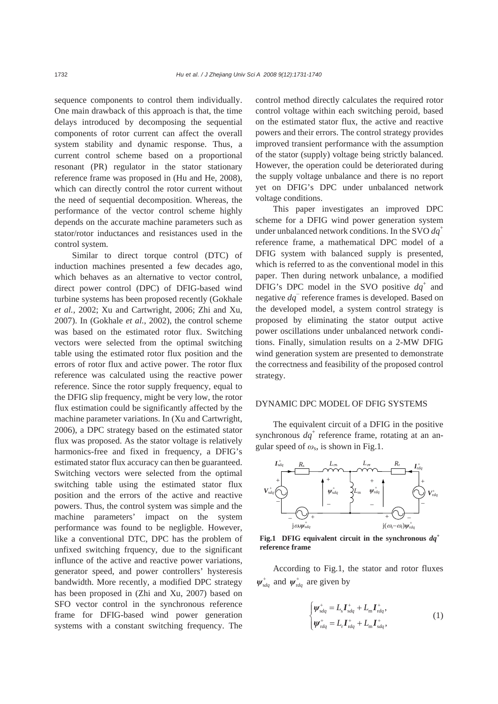sequence components to control them individually. One main drawback of this approach is that, the time delays introduced by decomposing the sequential components of rotor current can affect the overall system stability and dynamic response. Thus, a current control scheme based on a proportional resonant (PR) regulator in the stator stationary reference frame was proposed in (Hu and He, 2008), which can directly control the rotor current without the need of sequential decomposition. Whereas, the performance of the vector control scheme highly depends on the accurate machine parameters such as stator/rotor inductances and resistances used in the control system.

Similar to direct torque control (DTC) of induction machines presented a few decades ago, which behaves as an alternative to vector control, direct power control (DPC) of DFIG-based wind turbine systems has been proposed recently (Gokhale *et al.*, 2002; Xu and Cartwright, 2006; Zhi and Xu, 2007). In (Gokhale *et al.*, 2002), the control scheme was based on the estimated rotor flux. Switching vectors were selected from the optimal switching table using the estimated rotor flux position and the errors of rotor flux and active power. The rotor flux reference was calculated using the reactive power reference. Since the rotor supply frequency, equal to the DFIG slip frequency, might be very low, the rotor flux estimation could be significantly affected by the machine parameter variations. In (Xu and Cartwright, 2006), a DPC strategy based on the estimated stator flux was proposed. As the stator voltage is relatively harmonics-free and fixed in frequency, a DFIG's estimated stator flux accuracy can then be guaranteed. Switching vectors were selected from the optimal switching table using the estimated stator flux position and the errors of the active and reactive powers. Thus, the control system was simple and the machine parameters' impact on the system performance was found to be negligble. However, like a conventional DTC, DPC has the problem of unfixed switching frquency, due to the significant influnce of the active and reactive power variations, generator speed, and power controllers' hysteresis bandwidth. More recently, a modified DPC strategy has been proposed in (Zhi and Xu, 2007) based on SFO vector control in the synchronous reference frame for DFIG-based wind power generation systems with a constant switching frequency. The control method directly calculates the required rotor control voltage within each switching peroid, based on the estimated stator flux, the active and reactive powers and their errors. The control strategy provides improved transient performance with the assumption of the stator (supply) voltage being strictly balanced. However, the operation could be deteriorated during the supply voltage unbalance and there is no report yet on DFIG's DPC under unbalanced network voltage conditions.

This paper investigates an improved DPC scheme for a DFIG wind power generation system under unbalanced network conditions. In the SVO *dq*<sup>+</sup> reference frame, a mathematical DPC model of a DFIG system with balanced supply is presented, which is referred to as the conventional model in this paper. Then during network unbalance, a modified DFIG's DPC model in the SVO positive  $dq^+$  and negative *dq*<sup>−</sup> reference frames is developed. Based on the developed model, a system control strategy is proposed by eliminating the stator output active power oscillations under unbalanced network conditions. Finally, simulation results on a 2-MW DFIG wind generation system are presented to demonstrate the correctness and feasibility of the proposed control strategy.

## DYNAMIC DPC MODEL OF DFIG SYSTEMS

The equivalent circuit of a DFIG in the positive synchronous  $dq^+$  reference frame, rotating at an angular speed of *ω*s, is shown in Fig.1.



**Fig.1** DFIG equivalent circuit in the synchronous  $dq^+$ **reference frame** 

According to Fig.1, the stator and rotor fluxes  $\psi_{\text{sdq}}^{+}$  and  $\psi_{\text{rdq}}^{+}$  are given by

$$
\begin{cases}\n\psi_{sdq}^{+} = L_{s}I_{sdq}^{+} + L_{m}I_{rdq}^{+}, \n\psi_{rdq}^{+} = L_{r}I_{rdq}^{+} + L_{m}I_{sdq}^{+},\n\end{cases} (1)
$$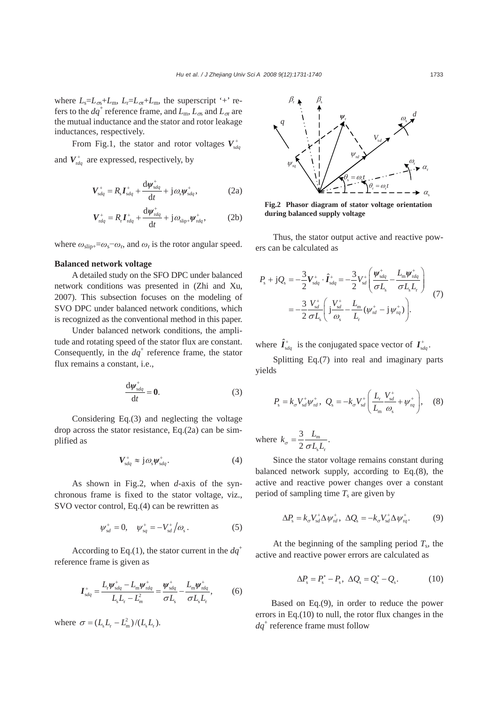where  $L_s = L_{\infty} + L_m$ ,  $L_r = L_{\sigma} + L_m$ , the superscript '+' refers to the  $dq^{\dagger}$  reference frame, and  $L_{\text{m}}$ ,  $L_{\text{c}}$  and  $L_{\text{c}}$  are the mutual inductance and the stator and rotor leakage inductances, respectively.

From Fig.1, the stator and rotor voltages  $V_{sdq}^{+}$ and  $V_{\text{rdg}}^{+}$  are expressed, respectively, by

$$
V_{sdq}^+ = R_s I_{sdq}^+ + \frac{\mathrm{d}\psi_{sdq}^+}{\mathrm{d}t} + \mathbf{j}\omega_s \psi_{sdq}^+, \tag{2a}
$$

$$
\boldsymbol{V}_{\text{rd}q}^{+} = \boldsymbol{R}_{\text{r}} \boldsymbol{I}_{\text{rd}q}^{+} + \frac{\mathrm{d}\boldsymbol{\psi}_{\text{rd}q}^{+}}{\mathrm{d}t} + \mathrm{j}\omega_{\text{slip}+}\boldsymbol{\psi}_{\text{rd}q}^{+},\tag{2b}
$$

where  $\omega_{\text{slip}+} = \omega_s - \omega_r$ , and  $\omega_r$  is the rotor angular speed.

## **Balanced network voltage**

A detailed study on the SFO DPC under balanced network conditions was presented in (Zhi and Xu, 2007). This subsection focuses on the modeling of SVO DPC under balanced network conditions, which is recognized as the conventional method in this paper.

Under balanced network conditions, the amplitude and rotating speed of the stator flux are constant. Consequently, in the  $dq^+$  reference frame, the stator flux remains a constant, i.e.,

$$
\frac{\mathrm{d}\psi_{\mathrm{sd}q}^+}{\mathrm{d}t} = \mathbf{0}.\tag{3}
$$

Considering Eq.(3) and neglecting the voltage drop across the stator resistance, Eq.(2a) can be simplified as

$$
V_{sdq}^{+} \approx j\omega_s \psi_{sdq}^{+}.
$$
 (4)

As shown in Fig.2, when *d*-axis of the synchronous frame is fixed to the stator voltage, viz., SVO vector control, Eq.(4) can be rewritten as

$$
\psi_{sd}^+ = 0, \quad \psi_{sq}^+ = -V_{sd}^+ / \omega_s. \tag{5}
$$

According to Eq.(1), the stator current in the  $dq^+$ reference frame is given as

$$
\boldsymbol{I}_{sdq}^{+} = \frac{L_{\rm r} \psi_{sdq}^{+} - L_{\rm m} \psi_{rdq}^{+}}{L_{\rm s} L_{\rm r} - L_{m}^{2}} = \frac{\psi_{sdq}^{+}}{\sigma L_{\rm s}} - \frac{L_{\rm m} \psi_{rdq}^{+}}{\sigma L_{\rm s} L_{\rm r}},\tag{6}
$$

where  $\sigma = (L_{\rm s}L_{\rm r} - L_{\rm m}^2)/(L_{\rm s}L_{\rm r}).$ 



**Fig.2 Phasor diagram of stator voltage orientation during balanced supply voltage**

Thus, the stator output active and reactive powers can be calculated as

$$
P_{s} + jQ_{s} = -\frac{3}{2}V_{sdq}^{+} \cdot \hat{I}_{sdq}^{+} = -\frac{3}{2}V_{sd}^{+}\left(\frac{\psi_{sdq}^{+}}{\sigma L_{s}} - \frac{L_{m}\psi_{rdq}^{+}}{\sigma L_{s}L_{r}}\right)
$$
  

$$
= -\frac{3}{2}\frac{V_{sd}^{+}}{\sigma L_{s}}\left(j\frac{V_{sd}^{+}}{\omega_{s}} - \frac{L_{m}}{L_{r}}(\psi_{rd}^{+} - j\psi_{rq}^{+})\right).
$$
(7)

where  $\hat{\mathbf{I}}_{sdq}^{+}$  is the conjugated space vector of  $\mathbf{I}_{sdq}^{+}$ .

Splitting Eq.(7) into real and imaginary parts yields

$$
P_{s} = k_{\sigma} V_{sd}^{+} \psi_{rd}^{+}, \ Q_{s} = -k_{\sigma} V_{sd}^{+} \left( \frac{L_{r}}{L_{m}} \frac{V_{sd}^{+}}{\omega_{s}} + \psi_{rq}^{+} \right), \quad (8)
$$

where  $k_{\sigma} = \frac{3}{2} \frac{L_{\text{m}}}{L_{\text{m}}}$  $k_{\sigma} = \frac{3}{2} \frac{L_{\rm m}}{\sigma L_{\rm s} L_{\rm r}}.$ 

Since the stator voltage remains constant during balanced network supply, according to Eq.(8), the active and reactive power changes over a constant period of sampling time  $T_s$  are given by

$$
\Delta P_{\rm s} = k_{\sigma} V_{\rm sd}^+ \Delta \psi_{\rm rd}^+, \ \Delta Q_{\rm s} = -k_{\sigma} V_{\rm sd}^+ \Delta \psi_{\rm rq}^+. \tag{9}
$$

At the beginning of the sampling period  $T_s$ , the active and reactive power errors are calculated as

$$
\Delta P_{\rm s} = P_{\rm s}^* - P_{\rm s}, \ \Delta Q_{\rm s} = Q_{\rm s}^* - Q_{\rm s}.\tag{10}
$$

Based on Eq.(9), in order to reduce the power errors in Eq.(10) to null, the rotor flux changes in the *dq*<sup>+</sup> reference frame must follow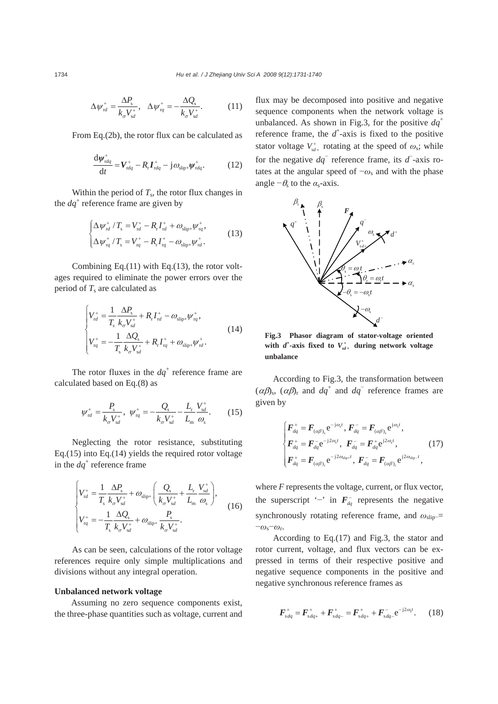$$
\Delta \psi_{\rm rd}^+ = \frac{\Delta P_{\rm s}}{k_{\sigma} V_{\rm sd}^+}, \quad \Delta \psi_{\rm rq}^+ = -\frac{\Delta Q_{\rm s}}{k_{\sigma} V_{\rm sd}^+}.
$$
 (11)

From Eq.(2b), the rotor flux can be calculated as

$$
\frac{\mathrm{d}\psi_{\mathrm{rd}q}^+}{\mathrm{d}t} = V_{\mathrm{rd}q}^+ - R_{\mathrm{r}} I_{\mathrm{rd}q}^+ - j \omega_{\mathrm{slip}+} \psi_{\mathrm{rd}q}^+.\tag{12}
$$

Within the period of  $T_s$ , the rotor flux changes in the  $dq^+$  reference frame are given by

$$
\begin{cases}\n\Delta \psi_{\rm rd}^+ / T_{\rm s} = V_{\rm rd}^+ - R_{\rm r} I_{\rm rd}^+ + \omega_{\rm slip+} \psi_{\rm rq}^+, \\
\Delta \psi_{\rm rq}^+ / T_{\rm s} = V_{\rm rq}^+ - R_{\rm r} I_{\rm rq}^+ - \omega_{\rm slip+} \psi_{\rm rd}^+.\n\end{cases} \tag{13}
$$

Combining Eq. $(11)$  with Eq. $(13)$ , the rotor voltages required to eliminate the power errors over the period of  $T<sub>s</sub>$  are calculated as

$$
\begin{cases}\nV_{rd}^{+} = \frac{1}{T_s} \frac{\Delta P_s}{k_{\sigma} V_{sd}^{+}} + R_r I_{rd}^{+} - \omega_{\text{slip+}} \psi_{rq}^{+}, \\
V_{rq}^{+} = -\frac{1}{T_s} \frac{\Delta Q_s}{k_{\sigma} V_{sd}^{+}} + R_r I_{rq}^{+} + \omega_{\text{slip+}} \psi_{rd}^{+}.\n\end{cases}
$$
\n(14)

The rotor fluxes in the  $dq^+$  reference frame are calculated based on Eq.(8) as

$$
\psi_{\rm rd}^{+} = \frac{P_{\rm s}}{k_{\sigma} V_{\rm sd}^{+}}, \ \psi_{\rm rq}^{+} = -\frac{Q_{\rm s}}{k_{\sigma} V_{\rm sd}^{+}} - \frac{L_{\rm r}}{L_{\rm m}} \frac{V_{\rm sd}^{+}}{\omega_{\rm s}}.\tag{15}
$$

Neglecting the rotor resistance, substituting Eq.(15) into Eq.(14) yields the required rotor voltage in the  $dq^+$  reference frame

$$
\begin{cases}\nV_{\text{rd}}^{+} = \frac{1}{T_{\text{s}}} \frac{\Delta P_{\text{s}}}{k_{\sigma} V_{\text{sd}}^{+}} + \omega_{\text{slip}+} \left( \frac{Q_{\text{s}}}{k_{\sigma} V_{\text{sd}}^{+}} + \frac{L_{\text{r}}}{L_{\text{m}}} \frac{V_{\text{sd}}^{+}}{\omega_{\text{s}}} \right), \\
V_{\text{rq}}^{+} = -\frac{1}{T_{\text{s}}} \frac{\Delta Q_{\text{s}}}{k_{\sigma} V_{\text{sd}}^{+}} + \omega_{\text{slip}+} \frac{P_{\text{s}}}{k_{\sigma} V_{\text{sd}}^{+}}.\n\end{cases} (16)
$$

As can be seen, calculations of the rotor voltage references require only simple multiplications and divisions without any integral operation.

## **Unbalanced network voltage**

Assuming no zero sequence components exist, the three-phase quantities such as voltage, current and flux may be decomposed into positive and negative sequence components when the network voltage is unbalanced. As shown in Fig.3, for the positive  $dq^+$ reference frame, the  $d^+$ -axis is fixed to the positive stator voltage  $V_{sd+}^+$  rotating at the speed of  $\omega_s$ ; while for the negative *dq*<sup>−</sup> reference frame, its *d* -axis rotates at the angular speed of −*ω*s and with the phase angle  $-\theta_s$  to the  $\alpha_s$ -axis.



**Fig.3 Phasor diagram of stator-voltage oriented**  with  $d^+$ -axis fixed to  $V_{sd+}^+$  during network voltage **unbalance** 

According to Fig.3, the transformation between  $(\alpha\beta)_{s}$ ,  $(\alpha\beta)_{r}$  and  $dq^{\dagger}$  and  $dq^{\dagger}$  reference frames are given by

$$
\begin{cases}\nF_{dq}^{+} = F_{(\alpha\beta)_{s}} e^{-j\omega_{s}t}, F_{dq}^{-} = F_{(\alpha\beta)_{s}} e^{j\omega_{s}t}, \\
F_{dq}^{+} = F_{dq}^{-} e^{-j2\omega_{s}t}, F_{dq}^{-} = F_{dq}^{+} e^{j2\omega_{s}t}, \\
F_{dq}^{+} = F_{(\alpha\beta)_{t}} e^{-j2\omega_{\text{dip}t}t}, F_{dq}^{-} = F_{(\alpha\beta)_{t}} e^{j2\omega_{\text{dip}t}t},\n\end{cases}
$$
\n(17)

where *F* represents the voltage, current, or flux vector, the superscript '<sup>−</sup>' in  $F_{dq}^-$  represents the negative synchronously rotating reference frame, and  $ω$ <sub>slip</sub><sup>−</sup> −*ω*s−*ω*r.

According to Eq.(17) and Fig.3, the stator and rotor current, voltage, and flux vectors can be expressed in terms of their respective positive and negative sequence components in the positive and negative synchronous reference frames as

$$
\boldsymbol{F}_{sdq}^{+} = \boldsymbol{F}_{sdq+}^{+} + \boldsymbol{F}_{sdq-}^{+} = \boldsymbol{F}_{sdq+}^{+} + \boldsymbol{F}_{sdq-}^{-} e^{-j2\omega_{sl}t}.
$$
 (18)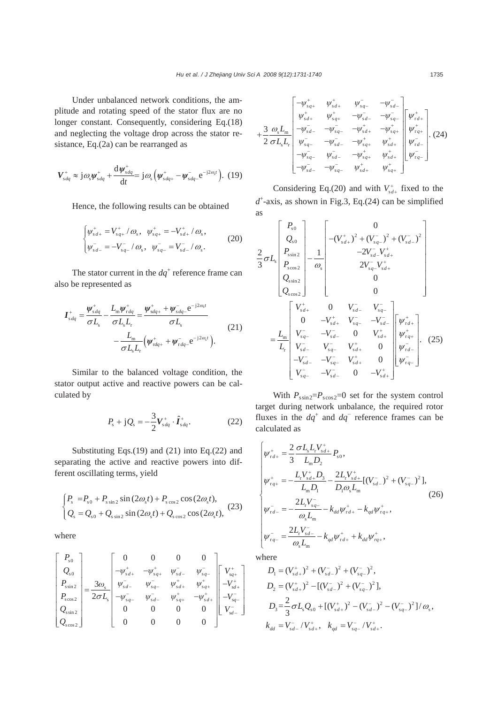Under unbalanced network conditions, the amplitude and rotating speed of the stator flux are no longer constant. Consequently, considering Eq.(18) and neglecting the voltage drop across the stator resistance, Eq.(2a) can be rearranged as

$$
\bm{V}_{sdq}^{+} \approx j\omega_{s}\bm{\psi}_{sdq}^{+} + \frac{\mathrm{d}\bm{\psi}_{sdq}^{+}}{\mathrm{d}t} = j\omega_{s}\left(\bm{\psi}_{sdq+}^{+} - \bm{\psi}_{sdq-}^{-}e^{-j2\omega_{s}t}\right). (19)
$$

Hence, the following results can be obtained

$$
\begin{cases} \psi_{sd+}^{+} = V_{sq+}^{+} / \omega_s, & \psi_{sq+}^{+} = -V_{sd+}^{+} / \omega_s, \\ \psi_{sd-}^{-} = -V_{sq-}^{-} / \omega_s, & \psi_{sq-}^{-} = V_{sd-}^{-} / \omega_s. \end{cases}
$$
 (20)

The stator current in the  $dq^+$  reference frame can also be represented as

$$
I_{sdq}^{+} = \frac{\psi_{sdq}^{+}}{\sigma L_s} - \frac{L_m \psi_{rdq}^{+}}{\sigma L_s L_r} = \frac{\psi_{sdq+}^{+} + \psi_{sdq-}^{-} e^{-j2\omega_s t}}{\sigma L_s} - \frac{L_m}{\sigma L_s L_r} \left(\psi_{rdq+}^{+} + \psi_{rdq-}^{-} e^{-j2\omega_s t}\right).
$$
\n(21)

Similar to the balanced voltage condition, the stator output active and reactive powers can be calculated by

$$
P_{s} + jQ_{s} = -\frac{3}{2}V_{sdq}^{+} \cdot \hat{\mathbf{I}}_{sdq}^{+}.
$$
 (22)

Substituting Eqs.(19) and (21) into Eq.(22) and separating the active and reactive powers into different oscillating terms, yield

$$
\begin{cases} P_{\rm s} = P_{\rm s0} + P_{\rm s\sin 2} \sin (2\omega_{\rm s}t) + P_{\rm s\cos 2} \cos (2\omega_{\rm s}t), \\ Q_{\rm s} = Q_{\rm s0} + Q_{\rm s\sin 2} \sin (2\omega_{\rm s}t) + Q_{\rm s\cos 2} \cos (2\omega_{\rm s}t), \end{cases} (23)
$$

where

$$
\begin{bmatrix}\nP_{\rm so} \\
Q_{\rm so} \\
P_{\rm sini2} \\
P_{\rm scos2} \\
Q_{\rm ssin2} \\
Q_{\rm scos2}\n\end{bmatrix} = \frac{3\omega_{\rm s}}{2\sigma L_{\rm s}} \begin{bmatrix}\n0 & 0 & 0 & 0 \\
-\psi_{\rm s d+}^{+} & \psi_{\rm s d-}^{-} & \psi_{\rm s d-}^{-} & \psi_{\rm s q-}^{-} \\
\psi_{\rm s d-}^{-} & \psi_{\rm s d-}^{-} & \psi_{\rm s d+}^{+} & \psi_{\rm s q+}^{+} \\
-\psi_{\rm s d-}^{-} & \psi_{\rm s d-}^{-} & \psi_{\rm s d+}^{+} & -\psi_{\rm s d+}^{+} \\
2\omega_{\rm ssin2} & 0 & 0 & 0 & 0 \\
0 & 0 & 0 & 0 & 0\n\end{bmatrix} \begin{bmatrix}\nV_{\rm s q+}^{+} \\
V_{\rm s q+}^{-} \\
-V_{\rm s q-}^{-} \\
V_{\rm s d-}^{-} \\
V_{\rm s d-}^{-}\n\end{bmatrix}
$$

$$
+\frac{3}{2}\frac{\omega_{s}L_{m}}{\sigma L_{s}L_{r}}\begin{vmatrix}\n-\psi_{sq_{+}}^{*} & \psi_{sq_{+}}^{*} & \psi_{sq_{-}}^{-} & -\psi_{sq_{-}}^{-} \\
\psi_{sq_{+}}^{*} & \psi_{sq_{+}}^{*} & -\psi_{sq_{-}}^{-} & -\psi_{sq_{-}}^{-} \\
-\psi_{sq_{-}}^{*} & -\psi_{sq_{-}}^{-} & -\psi_{sq_{+}}^{*} & -\psi_{sq_{+}}^{*} \\
\psi_{sq_{-}}^{*} & \psi_{sq_{-}}^{-} & -\psi_{sq_{+}}^{*} & \psi_{sq_{+}}^{*} \\
-\psi_{sq_{-}}^{*} & \psi_{sq_{-}}^{-} & -\psi_{sq_{+}}^{*} & \psi_{sq_{+}}^{*} \\
-\psi_{sq_{-}}^{*} & -\psi_{sq_{-}}^{-} & \psi_{sq_{+}}^{*} & \psi_{sq_{+}}^{*}\n\end{vmatrix}.\n(24)
$$

Considering Eq.(20) and with  $V_{sd+}^+$  fixed to the  $d^+$ -axis, as shown in Fig.3, Eq.(24) can be simplified as

$$
\frac{2}{3} \sigma L_{\rm s} \begin{bmatrix} P_{\rm s0} \\ Q_{\rm s0} \\ P_{\rm ssin2} \\ P_{\rm scos2} \end{bmatrix} - \frac{1}{\omega_{\rm s}} \begin{bmatrix} 0 \\ -(V_{\rm s,d+}^{+})^{2} + (V_{\rm s,q-}^{-})^{2} + (V_{\rm s,d-}^{-})^{2} \\ -2V_{\rm s,d-V_{\rm s,d+}}^{-} \\ 2V_{\rm s,q-V_{\rm s,d+}}^{-} \\ 0 \end{bmatrix}
$$

$$
= \frac{L_{\rm m}}{L_{\rm r}} \begin{bmatrix} V_{\rm s,d+}^{+} & 0 & V_{\rm s,d-}^{-} & V_{\rm s,q-}^{-} \\ 0 & -V_{\rm s,d+}^{+} & V_{\rm s,q-}^{-} & -V_{\rm s,d-}^{-} \\ 0 & -V_{\rm s,d+}^{+} & V_{\rm s,q-}^{-} & -V_{\rm s,d-}^{-} \\ V_{\rm s,q-}^{-} & -V_{\rm s,q-}^{-} & V_{\rm s,d+}^{+} & 0 \\ -V_{\rm s,d-}^{-} & -V_{\rm s,q-}^{-} & V_{\rm s,d+}^{+} & 0 \\ V_{\rm s,q-}^{-} & -V_{\rm s,q-}^{-} & 0 & -V_{\rm s,d+}^{+} \end{bmatrix} \begin{bmatrix} \psi_{\rm r,d+}^{+} \\ \psi_{\rm r,d+}^{-} \\ \psi_{\rm r,q-}^{-} \\ \psi_{\rm r,q-}^{-} \end{bmatrix} . (25)
$$

With  $P_{\text{ssin2}}=P_{\text{scos2}}=0$  set for the system control target during network unbalance, the required rotor fluxes in the  $dq^+$  and  $dq^-$  reference frames can be calculated as

$$
\begin{cases}\n\psi_{rd+}^{+} = \frac{2}{3} \frac{\sigma L_{s} L_{r} V_{sd+}^{+}}{L_{m} D_{2}} P_{s0}, \\
\psi_{rq+}^{+} = -\frac{L_{r} V_{sd+}^{+} D_{3}}{L_{m} D_{1}} - \frac{2 L_{r} V_{sd+}^{+}}{D_{1} \omega_{s} L_{m}} [(V_{sd-}^{-})^{2} + (V_{sq-}^{-})^{2}], \\
\psi_{rd-}^{-} = -\frac{2 L_{r} V_{sq-}^{-}}{\omega_{s} L_{m}} - k_{dd} \psi_{rd+}^{+} - k_{qd} \psi_{rq+}^{+}, \\
\psi_{rq-}^{-} = \frac{2 L_{r} V_{sd-}^{-}}{\omega_{s} L_{m}} - k_{qd} \psi_{rd+}^{+} + k_{dd} \psi_{rq+}^{+},\n\end{cases}
$$
\n(26)

where

$$
D_1 = (V_{sd+}^+)^2 + (V_{sd-}^-)^2 + (V_{sq-}^-)^2,
$$
  
\n
$$
D_2 = (V_{sd+}^+)^2 - [(V_{sd-}^-)^2 + (V_{sq-}^-)^2],
$$
  
\n
$$
D_3 = \frac{2}{3} \sigma L_s Q_{s0} + [(V_{sd+}^+)^2 - (V_{sd-}^-)^2 - (V_{sq-}^-)^2] / \omega_s,
$$
  
\n
$$
k_{dd} = V_{sd-}^- / V_{sd+}^+, \quad k_{qd} = V_{sq-}^- / V_{sd+}^+.
$$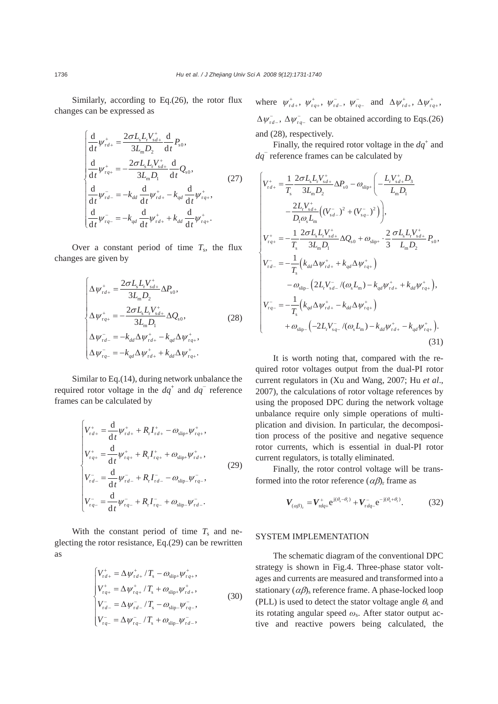Similarly, according to Eq.(26), the rotor flux changes can be expressed as

$$
\begin{cases}\n\frac{\mathrm{d}}{\mathrm{d}t}\psi_{\mathrm{r}d+}^{+} = \frac{2\sigma L_{\mathrm{s}}L_{\mathrm{r}}V_{\mathrm{s}d+}^{+}}{3L_{\mathrm{m}}D_{2}}\frac{\mathrm{d}}{\mathrm{d}t}P_{\mathrm{s}0},\\
\frac{\mathrm{d}}{\mathrm{d}t}\psi_{\mathrm{r}q+}^{+} = -\frac{2\sigma L_{\mathrm{s}}L_{\mathrm{r}}V_{\mathrm{s}d+}^{+}}{3L_{\mathrm{m}}D_{1}}\frac{\mathrm{d}}{\mathrm{d}t}Q_{\mathrm{s}0},\\
\frac{\mathrm{d}}{\mathrm{d}t}\psi_{\mathrm{r}d-}^{-} = -k_{dd}\frac{\mathrm{d}}{\mathrm{d}t}\psi_{\mathrm{r}d+}^{+} - k_{qd}\frac{\mathrm{d}}{\mathrm{d}t}\psi_{\mathrm{r}q+}^{+},\\
\frac{\mathrm{d}}{\mathrm{d}t}\psi_{\mathrm{r}q-}^{-} = -k_{qd}\frac{\mathrm{d}}{\mathrm{d}t}\psi_{\mathrm{r}d+}^{+} + k_{dd}\frac{\mathrm{d}}{\mathrm{d}t}\psi_{\mathrm{r}q+}^{+}.\n\end{cases} \tag{27}
$$

Over a constant period of time  $T_s$ , the flux changes are given by

$$
\begin{cases}\n\Delta \psi_{rd+}^{+} = \frac{2 \sigma L_{\rm s} L_{\rm r} V_{\rm s}^{+}}{3 L_{\rm m} D_{2}} \Delta P_{\rm s0}, \\
\Delta \psi_{rq+}^{+} = -\frac{2 \sigma L_{\rm s} L_{\rm r} V_{\rm s}^{+}}{3 L_{\rm m} D_{1}} \Delta Q_{\rm s0}, \\
\Delta \psi_{rd-}^{-} = -k_{dd} \Delta \psi_{rd+}^{+} - k_{qd} \Delta \psi_{rq+}^{+}, \\
\Delta \psi_{rq-}^{-} = -k_{qd} \Delta \psi_{rd+}^{+} + k_{dd} \Delta \psi_{rq+}^{+}.\n\end{cases} (28)
$$

Similar to Eq.(14), during network unbalance the required rotor voltage in the  $dq^+$  and  $dq^-$  reference frames can be calculated by

$$
\begin{cases}\nV_{\text{r}d+}^{+} = \frac{\text{d}}{\text{d}t} \psi_{\text{r}d+}^{+} + R_{\text{r}} I_{\text{r}d+}^{+} - \omega_{\text{slip}+} \psi_{\text{r}q+}^{+}, \\
V_{\text{r}q+}^{+} = \frac{\text{d}}{\text{d}t} \psi_{\text{r}q+}^{+} + R_{\text{r}} I_{\text{r}q+}^{+} + \omega_{\text{slip}+} \psi_{\text{r}d+}^{+}, \\
V_{\text{r}d-}^{-} = \frac{\text{d}}{\text{d}t} \psi_{\text{r}d-}^{-} + R_{\text{r}} I_{\text{r}d-}^{-} - \omega_{\text{slip}-} \psi_{\text{r}q-}^{-}, \\
V_{\text{r}q-}^{-} = \frac{\text{d}}{\text{d}t} \psi_{\text{r}q-}^{-} + R_{\text{r}} I_{\text{r}q-}^{-} + \omega_{\text{slip}-} \psi_{\text{r}d-}^{-}.\n\end{cases} \tag{29}
$$

With the constant period of time  $T_s$  and neglecting the rotor resistance, Eq.(29) can be rewritten as

$$
\begin{cases}\nV_{rd+}^{+} = \Delta \psi_{rd+}^{+} / T_{s} - \omega_{\text{slip+}} \psi_{rq+}^{+}, \nV_{rq+}^{+} = \Delta \psi_{rq+}^{+} / T_{s} + \omega_{\text{slip+}} \psi_{rd+}^{+}, \nV_{rd-}^{-} = \Delta \psi_{rd-}^{-} / T_{s} - \omega_{\text{slip-}} \psi_{rq-}^{-}, \nV_{rq-}^{-} = \Delta \psi_{rq-}^{-} / T_{s} + \omega_{\text{slip-}} \psi_{rd-}^{-},\n\end{cases}
$$
\n(30)

where  $\psi_{rd+}^*$ ,  $\psi_{rq+}^*$ ,  $\psi_{rd-}^-$ ,  $\psi_{rq-}^-$  and  $\Delta \psi_{rd+}^*$ ,  $\Delta \psi_{rq+}^*$ ,  $\Delta \psi_{\text{rad}}^-$ ,  $\Delta \psi_{\text{rad}}^-$  can be obtained according to Eqs.(26) and (28), respectively.

Finally, the required rotor voltage in the  $dq^+$  and *dq*<sup>−</sup> reference frames can be calculated by

$$
\begin{cases}\nV_{rd+}^{+} = \frac{1}{T_{s}} \frac{2\sigma L_{s}L_{r}V_{sd+}^{+}}{3L_{m}D_{2}} \Delta P_{s0} - \omega_{\text{slip}+} \left( -\frac{L_{r}V_{sd+}^{+}D_{3}}{L_{m}D_{1}} -\frac{2L_{r}V_{sd+}^{+}}{D_{1}\omega_{s}L_{m}} \left( (V_{sd-}^{-})^{2} + (V_{sq-}^{-})^{2} \right) \right), \\
V_{rq+}^{+} = -\frac{1}{T_{s}} \frac{2\sigma L_{s}L_{r}V_{sd+}^{+}}{3L_{m}D_{1}} \Delta Q_{s0} + \omega_{\text{slip}+} \cdot \frac{2}{3} \frac{\sigma L_{s}L_{r}V_{sd+}^{+}}{L_{m}D_{2}} P_{s0}, \\
V_{rd-}^{-} = -\frac{1}{T_{s}} \left( k_{dd} \Delta \psi_{rd+}^{+} + k_{qd} \Delta \psi_{rq+}^{+} \right) \\
-\omega_{\text{slip}-} \left( 2L_{r}V_{sd-}^{-}/(\omega_{s}L_{m}) - k_{qd} \psi_{rd+}^{+} + k_{dd} \psi_{rq+}^{+} \right), \\
V_{rq-}^{-} = -\frac{1}{T_{s}} \left( k_{qd} \Delta \psi_{rd+}^{+} - k_{dd} \Delta \psi_{rq+}^{+} \right) \\
+ \omega_{\text{slip}-} \left( -2L_{r}V_{sq-}^{-}/(\omega_{s}L_{m}) - k_{dd} \psi_{rd+}^{+} - k_{qd} \psi_{rq+}^{+} \right). \tag{31}\n\end{cases}
$$

It is worth noting that, compared with the required rotor voltages output from the dual-PI rotor current regulators in (Xu and Wang, 2007; Hu *et al*., 2007), the calculations of rotor voltage references by using the proposed DPC during the network voltage unbalance require only simple operations of multiplication and division. In particular, the decomposition process of the positive and negative sequence rotor currents, which is essential in dual-PI rotor current regulators, is totally eliminated.

Finally, the rotor control voltage will be transformed into the rotor reference  $(\alpha\beta)$ <sub>r</sub> frame as

$$
V_{(\alpha\beta)_r} = V_{\text{rd}q+}^+ e^{j(\theta_s - \theta_r)} + V_{\text{rd}q-}^- e^{-j(\theta_s + \theta_r)}. \tag{32}
$$

# SYSTEM IMPLEMENTATION

The schematic diagram of the conventional DPC strategy is shown in Fig.4. Three-phase stator voltages and currents are measured and transformed into a stationary  $(\alpha\beta)$ <sub>s</sub> reference frame. A phase-locked loop (PLL) is used to detect the stator voltage angle  $\theta_s$  and its rotating angular speed *ω*s. After stator output active and reactive powers being calculated, the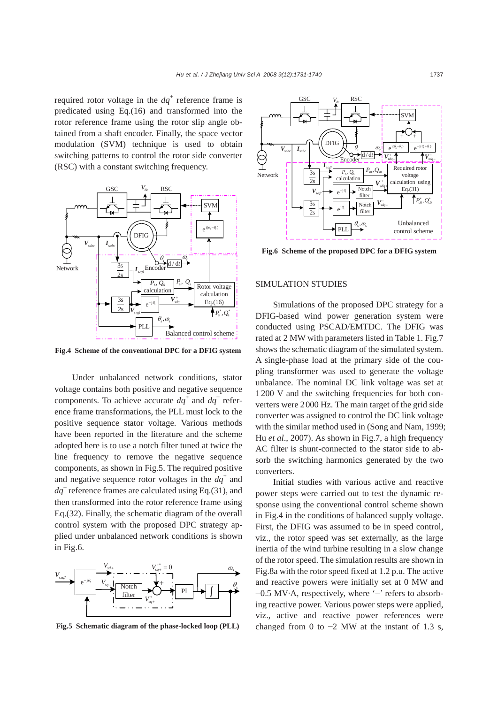required rotor voltage in the  $dq^+$  reference frame is predicated using Eq.(16) and transformed into the rotor reference frame using the rotor slip angle obtained from a shaft encoder. Finally, the space vector modulation (SVM) technique is used to obtain switching patterns to control the rotor side converter (RSC) with a constant switching frequency.



**Fig.4 Scheme of the conventional DPC for a DFIG system**

Under unbalanced network conditions, stator voltage contains both positive and negative sequence components. To achieve accurate *dq*<sup>+</sup> and *dq*<sup>−</sup> reference frame transformations, the PLL must lock to the positive sequence stator voltage. Various methods have been reported in the literature and the scheme adopted here is to use a notch filter tuned at twice the line frequency to remove the negative sequence components, as shown in Fig.5. The required positive and negative sequence rotor voltages in the  $dq^+$  and *dq*<sup>−</sup> reference frames are calculated using Eq.(31), and then transformed into the rotor reference frame using Eq.(32). Finally, the schematic diagram of the overall control system with the proposed DPC strategy applied under unbalanced network conditions is shown in Fig.6.



**Fig.5 Schematic diagram of the phase-locked loop (PLL)**



**Fig.6 Scheme of the proposed DPC for a DFIG system**

# SIMULATION STUDIES

Simulations of the proposed DPC strategy for a DFIG-based wind power generation system were conducted using PSCAD/EMTDC. The DFIG was rated at 2 MW with parameters listed in Table 1. Fig.7 shows the schematic diagram of the simulated system. A single-phase load at the primary side of the coupling transformer was used to generate the voltage unbalance. The nominal DC link voltage was set at 1200 V and the switching frequencies for both converters were 2000 Hz. The main target of the grid side converter was assigned to control the DC link voltage with the similar method used in (Song and Nam, 1999; Hu *et al*., 2007). As shown in Fig.7, a high frequency AC filter is shunt-connected to the stator side to absorb the switching harmonics generated by the two converters.

Initial studies with various active and reactive power steps were carried out to test the dynamic response using the conventional control scheme shown in Fig.4 in the conditions of balanced supply voltage. First, the DFIG was assumed to be in speed control, viz., the rotor speed was set externally, as the large inertia of the wind turbine resulting in a slow change of the rotor speed. The simulation results are shown in Fig.8a with the rotor speed fixed at 1.2 p.u. The active and reactive powers were initially set at 0 MW and −0.5 MV·A, respectively, where '−' refers to absorbing reactive power. Various power steps were applied, viz., active and reactive power references were changed from 0 to  $-2$  MW at the instant of 1.3 s,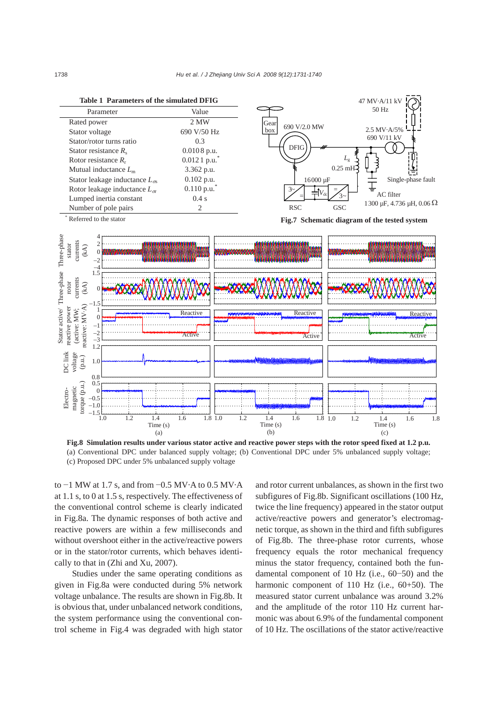**Table 1 Parameters of the simulated DFIG**   $47$  MV $\cdot$ A $/11$  k 50 Hz Parameter **Value** Rated power 2 MW **Gear** 690 V/2.0 MW box 2.5 MV·A/5% Stator voltage 690 V/50 Hz 690 V/11 kV Stator/rotor turns ratio 0.3 DFIG ∩ Stator resistance  $R_s$  0.010 8 p.u. *L*g Rotor resistance  $R_r$  0.012 1 p.u.<sup>\*</sup>  $0.25 \text{ mH} \frac{1}{2}$ Mutual inductance *L*<sub>m</sub> 3.362 p.u.<br>Stator leakage inductance *L*<sub>*m*</sub> 0.102 p.u. Stator leakage inductance  $L_{\infty}$  0.102 p.u.<br>Rotor leakage inductance  $L_{\infty}$  0.110 p.u.<sup>4</sup> 16000 µF Single-phase fault Rotor leakage inductance *L*<sub>σ</sub>  $\frac{3}{2}$  =  $\frac{1}{2}V_{\text{dc}} = \frac{2}{3}$ = AC filter Lumped inertia constant 0.4 s 1300 μF, 4.736 μH, 0.06 Ω RSC GSC Number of pole pairs 2 \*



**Fig.7 Schematic diagram of the tested system**



**Fig.8 Simulation results under various stator active and reactive power steps with the rotor speed fixed at 1.2 p.u.**  (a) Conventional DPC under balanced supply voltage; (b) Conventional DPC under 5% unbalanced supply voltage; (c) Proposed DPC under 5% unbalanced supply voltage

to −1 MW at 1.7 s, and from −0.5 MV·A to 0.5 MV·A at 1.1 s, to 0 at 1.5 s, respectively. The effectiveness of the conventional control scheme is clearly indicated in Fig.8a. The dynamic responses of both active and reactive powers are within a few milliseconds and without overshoot either in the active/reactive powers or in the stator/rotor currents, which behaves identically to that in (Zhi and Xu, 2007).

Studies under the same operating conditions as given in Fig.8a were conducted during 5% network voltage unbalance. The results are shown in Fig.8b. It is obvious that, under unbalanced network conditions, the system performance using the conventional control scheme in Fig.4 was degraded with high stator

and rotor current unbalances, as shown in the first two subfigures of Fig.8b. Significant oscillations (100 Hz, twice the line frequency) appeared in the stator output active/reactive powers and generator's electromagnetic torque, as shown in the third and fifth subfigures of Fig.8b. The three-phase rotor currents, whose frequency equals the rotor mechanical frequency minus the stator frequency, contained both the fundamental component of 10 Hz (i.e., 60−50) and the harmonic component of 110 Hz (i.e., 60+50). The measured stator current unbalance was around 3.2% and the amplitude of the rotor 110 Hz current harmonic was about 6.9% of the fundamental component of 10 Hz. The oscillations of the stator active/reactive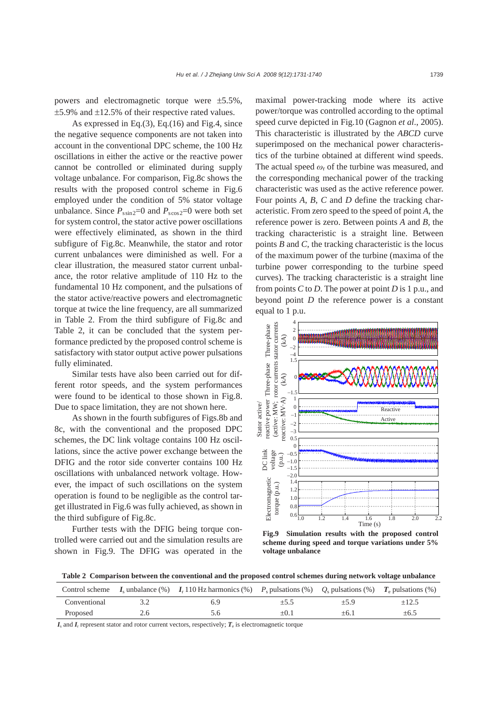powers and electromagnetic torque were ±5.5%,  $\pm$ 5.9% and  $\pm$ 12.5% of their respective rated values.

As expressed in Eq.(3), Eq.(16) and Fig.4, since the negative sequence components are not taken into account in the conventional DPC scheme, the 100 Hz oscillations in either the active or the reactive power cannot be controlled or eliminated during supply voltage unbalance. For comparison, Fig.8c shows the results with the proposed control scheme in Fig.6 employed under the condition of 5% stator voltage unbalance. Since  $P_{\text{ssin2}}=0$  and  $P_{\text{scos2}}=0$  were both set for system control, the stator active power oscillations were effectively eliminated, as shown in the third subfigure of Fig.8c. Meanwhile, the stator and rotor current unbalances were diminished as well. For a clear illustration, the measured stator current unbalance, the rotor relative amplitude of 110 Hz to the fundamental 10 Hz component, and the pulsations of the stator active/reactive powers and electromagnetic torque at twice the line frequency, are all summarized in Table 2. From the third subfigure of Fig.8c and Table 2, it can be concluded that the system performance predicted by the proposed control scheme is satisfactory with stator output active power pulsations fully eliminated.

Similar tests have also been carried out for different rotor speeds, and the system performances were found to be identical to those shown in Fig.8. Due to space limitation, they are not shown here.

As shown in the fourth subfigures of Figs.8b and 8c, with the conventional and the proposed DPC schemes, the DC link voltage contains 100 Hz oscillations, since the active power exchange between the DFIG and the rotor side converter contains 100 Hz oscillations with unbalanced network voltage. However, the impact of such oscillations on the system operation is found to be negligible as the control target illustrated in Fig.6 was fully achieved, as shown in the third subfigure of Fig.8c.

Further tests with the DFIG being torque controlled were carried out and the simulation results are shown in Fig.9. The DFIG was operated in the

maximal power-tracking mode where its active power/torque was controlled according to the optimal speed curve depicted in Fig.10 (Gagnon *et al*., 2005). This characteristic is illustrated by the *ABCD* curve superimposed on the mechanical power characteristics of the turbine obtained at different wind speeds. The actual speed  $\omega_r$  of the turbine was measured, and the corresponding mechanical power of the tracking characteristic was used as the active reference power. Four points *A*, *B*, *C* and *D* define the tracking characteristic. From zero speed to the speed of point *A*, the reference power is zero. Between points *A* and *B*, the tracking characteristic is a straight line. Between points *B* and *C*, the tracking characteristic is the locus of the maximum power of the turbine (maxima of the turbine power corresponding to the turbine speed curves). The tracking characteristic is a straight line from points *C* to *D*. The power at point *D* is 1 p.u., and beyond point *D* the reference power is a constant equal to 1 p.u.



**Fig.9 Simulation results with the proposed control scheme during speed and torque variations under 5% voltage unbalance** 

**Table 2 Comparison between the conventional and the proposed control schemes during network voltage unbalance**

|              |     | Control scheme $I_s$ unbalance (%) $I_r$ 110 Hz harmonics (%) $P_s$ pulsations (%) $Q_s$ pulsations (%) $T_e$ pulsations (%) |        |        |         |
|--------------|-----|------------------------------------------------------------------------------------------------------------------------------|--------|--------|---------|
| Conventional |     | ነ.ሃ                                                                                                                          | $+5.5$ | $+5.9$ | $+12.5$ |
| Proposed     | 2.6 |                                                                                                                              | $+0.1$ | $+6.1$ | $+6.5$  |

 $I_s$  and  $I_r$  represent stator and rotor current vectors, respectively;  $T_e$  is electromagnetic torque